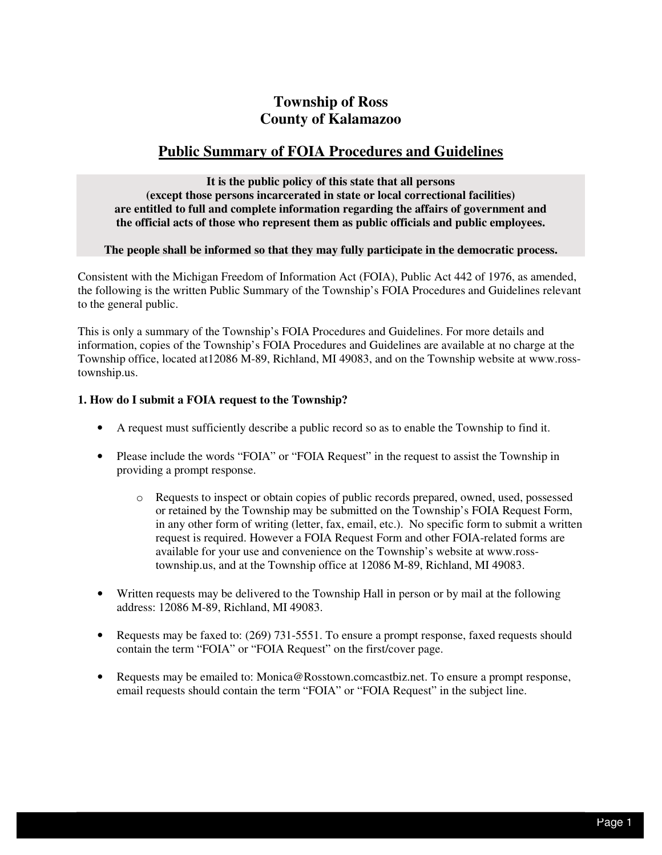# **County of Kalamazoo Township of Ross**

## **Public Summary of FOIA Procedures and Guidelines**

 **It is the public policy of this state that all persons (except those persons incarcerated in state or local correctional facilities) are entitled to full and complete information regarding the affairs of government and the official acts of those who represent them as public officials and public employees.** 

## **The people shall be informed so that they may fully participate in the democratic process.**

 Consistent with the Michigan Freedom of Information Act (FOIA), Public Act 442 of 1976, as amended, the following is the written Public Summary of the Township's FOIA Procedures and Guidelines relevant to the general public.

 This is only a summary of the Township's FOIA Procedures and Guidelines. For more details and information, copies of the Township's FOIA Procedures and Guidelines are available at no charge at the Township office, located at12086 M-89, Richland, MI 49083, and on the Township website at www.rosstownship.us.

## **1. How do I submit a FOIA request to the Township?**

- • A request must sufficiently describe a public record so as to enable the Township to find it.
- Please include the words "FOIA" or "FOIA Request" in the request to assist the Township in providing a prompt response.
	- o Requests to inspect or obtain copies of public records prepared, owned, used, possessed or retained by the Township may be submitted on the Township's FOIA Request Form, in any other form of writing (letter, fax, email, etc.). No specific form to submit a written request is required. However a FOIA Request Form and other FOIA-related forms are available for your use and convenience on the Township's website at www.ross-township.us, and at the Township office at 12086 M-89, Richland, MI 49083.
- Written requests may be delivered to the Township Hall in person or by mail at the following address: 12086 M-89, Richland, MI 49083.
- Requests may be faxed to: (269) 731-5551. To ensure a prompt response, faxed requests should contain the term "FOIA" or "FOIA Request" on the first/cover page.
- Requests may be emailed to: Monica@Rosstown.comcastbiz.net. To ensure a prompt response, email requests should contain the term "FOIA" or "FOIA Request" in the subject line.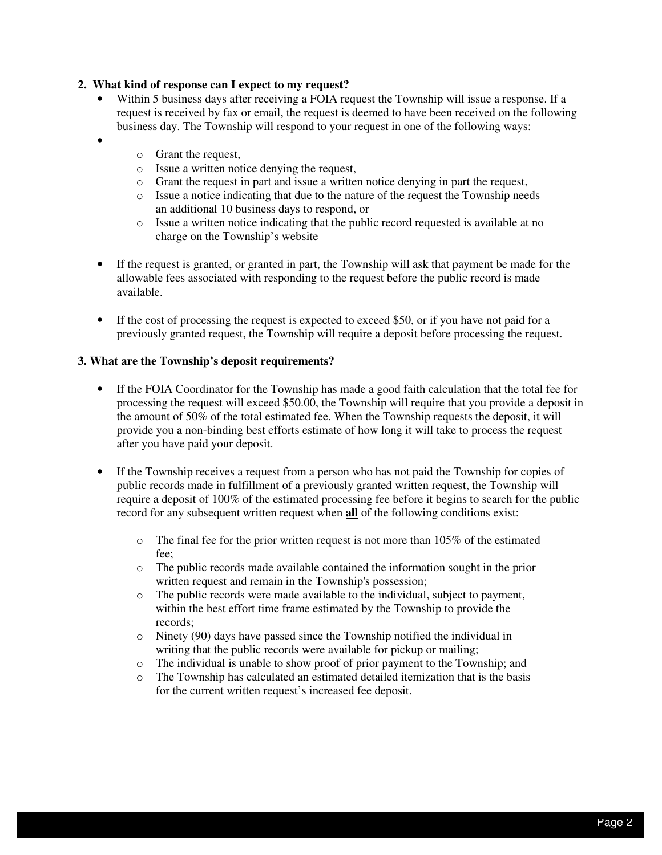#### **2. What kind of response can I expect to my request?**

- • Within 5 business days after receiving a FOIA request the Township will issue a response. If a request is received by fax or email, the request is deemed to have been received on the following business day. The Township will respond to your request in one of the following ways:
	- o Grant the request,

•

- o Issue a written notice denying the request,
- o Grant the request in part and issue a written notice denying in part the request,
- o Issue a notice indicating that due to the nature of the request the Township needs an additional 10 business days to respond, or
- o Issue a written notice indicating that the public record requested is available at no charge on the Township's website
- If the request is granted, or granted in part, the Township will ask that payment be made for the allowable fees associated with responding to the request before the public record is made available.
- If the cost of processing the request is expected to exceed \$50, or if you have not paid for a previously granted request, the Township will require a deposit before processing the request.

#### **3. What are the Township's deposit requirements?**

- • If the FOIA Coordinator for the Township has made a good faith calculation that the total fee for processing the request will exceed \$50.00, the Township will require that you provide a deposit in the amount of 50% of the total estimated fee. When the Township requests the deposit, it will provide you a non-binding best efforts estimate of how long it will take to process the request after you have paid your deposit.
- • If the Township receives a request from a person who has not paid the Township for copies of public records made in fulfillment of a previously granted written request, the Township will require a deposit of 100% of the estimated processing fee before it begins to search for the public record for any subsequent written request when **all** of the following conditions exist:
	- $\circ$  The final fee for the prior written request is not more than 105% of the estimated fee;
	- o The public records made available contained the information sought in the prior written request and remain in the Township's possession;
	- within the best effort time frame estimated by the Township to provide the  $\circ$  The public records were made available to the individual, subject to payment, records;
	- o Ninety (90) days have passed since the Township notified the individual in writing that the public records were available for pickup or mailing;
	- o The individual is unable to show proof of prior payment to the Township; and
	- o The Township has calculated an estimated detailed itemization that is the basis for the current written request's increased fee deposit.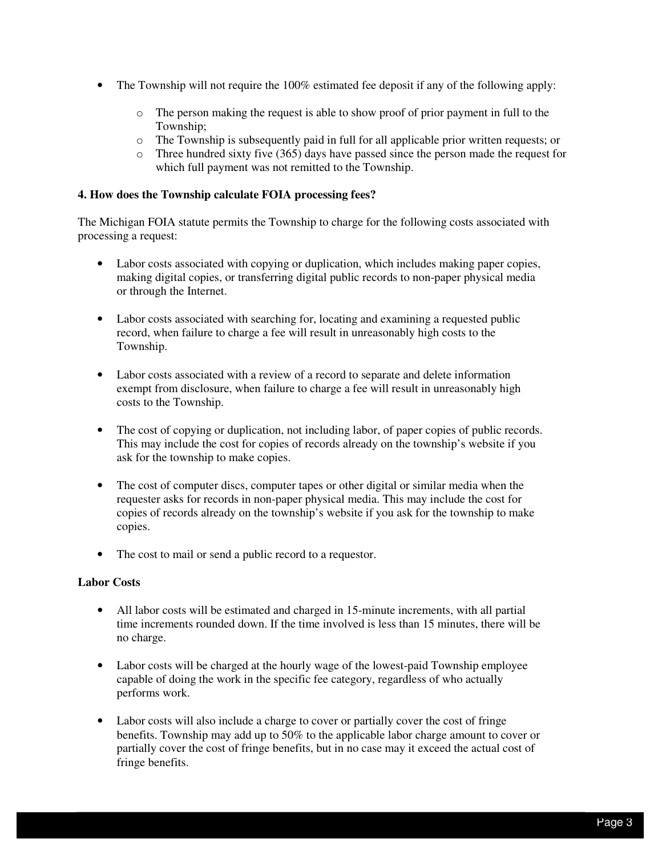- • The Township will not require the 100% estimated fee deposit if any of the following apply:
	- o The person making the request is able to show proof of prior payment in full to the Township;
	- o The Township is subsequently paid in full for all applicable prior written requests; or
	- $\circ$  Three hundred sixty five (365) days have passed since the person made the request for which full payment was not remitted to the Township.

#### **4. How does the Township calculate FOIA processing fees?**

 The Michigan FOIA statute permits the Township to charge for the following costs associated with processing a request:

- • Labor costs associated with copying or duplication, which includes making paper copies, making digital copies, or transferring digital public records to non-paper physical media or through the Internet.
- Labor costs associated with searching for, locating and examining a requested public record, when failure to charge a fee will result in unreasonably high costs to the Township.
- Labor costs associated with a review of a record to separate and delete information exempt from disclosure, when failure to charge a fee will result in unreasonably high costs to the Township.
- The cost of copying or duplication, not including labor, of paper copies of public records. This may include the cost for copies of records already on the township's website if you ask for the township to make copies.
- The cost of computer discs, computer tapes or other digital or similar media when the requester asks for records in non-paper physical media. This may include the cost for copies of records already on the township's website if you ask for the township to make copies.
- The cost to mail or send a public record to a requestor.

## **Labor Costs**

- All labor costs will be estimated and charged in 15-minute increments, with all partial time increments rounded down. If the time involved is less than 15 minutes, there will be no charge.
- Labor costs will be charged at the hourly wage of the lowest-paid Township employee capable of doing the work in the specific fee category, regardless of who actually performs work.
- Labor costs will also include a charge to cover or partially cover the cost of fringe benefits. Township may add up to 50% to the applicable labor charge amount to cover or partially cover the cost of fringe benefits, but in no case may it exceed the actual cost of fringe benefits.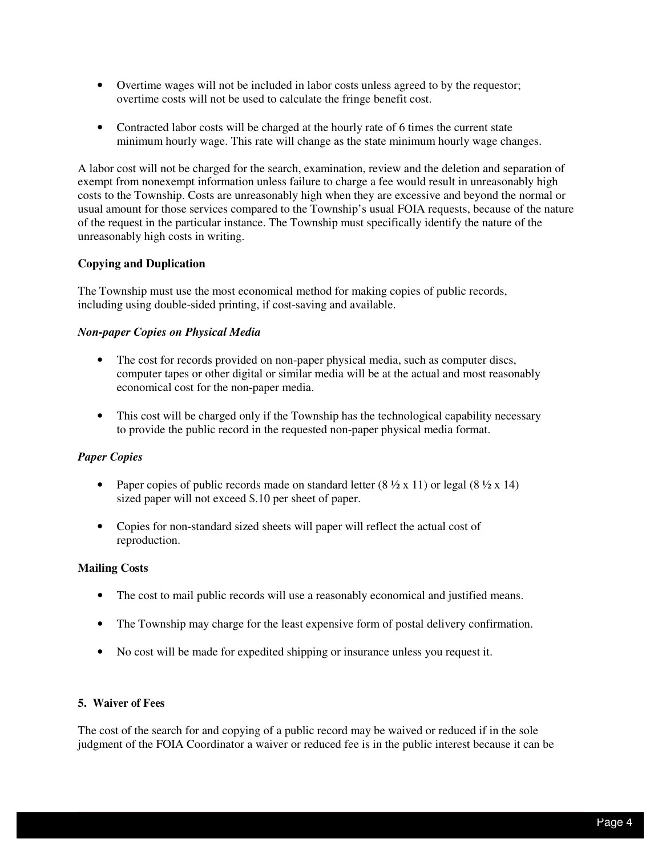- • Overtime wages will not be included in labor costs unless agreed to by the requestor; overtime costs will not be used to calculate the fringe benefit cost.
- Contracted labor costs will be charged at the hourly rate of 6 times the current state minimum hourly wage. This rate will change as the state minimum hourly wage changes.

 A labor cost will not be charged for the search, examination, review and the deletion and separation of exempt from nonexempt information unless failure to charge a fee would result in unreasonably high costs to the Township. Costs are unreasonably high when they are excessive and beyond the normal or usual amount for those services compared to the Township's usual FOIA requests, because of the nature of the request in the particular instance. The Township must specifically identify the nature of the unreasonably high costs in writing.

## **Copying and Duplication**

 The Township must use the most economical method for making copies of public records, including using double-sided printing, if cost-saving and available.

#### *Non-paper Copies on Physical Media*

- The cost for records provided on non-paper physical media, such as computer discs, computer tapes or other digital or similar media will be at the actual and most reasonably economical cost for the non-paper media.
- This cost will be charged only if the Township has the technological capability necessary to provide the public record in the requested non-paper physical media format.

#### *Paper Copies*

- Paper copies of public records made on standard letter  $(8 \frac{1}{2} \times 11)$  or legal  $(8 \frac{1}{2} \times 14)$ sized paper will not exceed \$.10 per sheet of paper.
- • Copies for non-standard sized sheets will paper will reflect the actual cost of reproduction.

#### **Mailing Costs**

- The cost to mail public records will use a reasonably economical and justified means.
- The Township may charge for the least expensive form of postal delivery confirmation.
- • No cost will be made for expedited shipping or insurance unless you request it.

#### **5. Waiver of Fees**

 The cost of the search for and copying of a public record may be waived or reduced if in the sole judgment of the FOIA Coordinator a waiver or reduced fee is in the public interest because it can be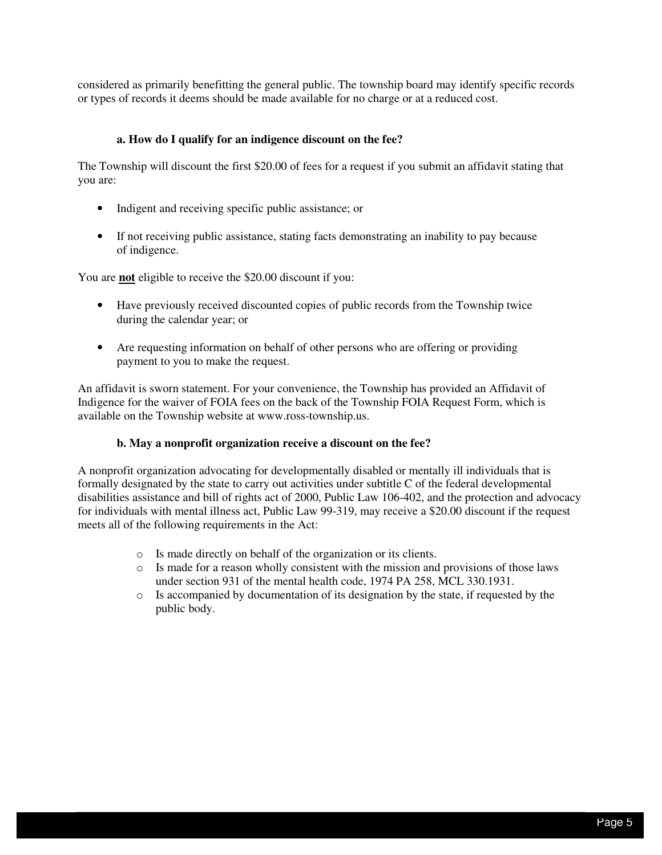considered as primarily benefitting the general public. The township board may identify specific records or types of records it deems should be made available for no charge or at a reduced cost.

#### **a. How do I qualify for an indigence discount on the fee?**

 The Township will discount the first \$20.00 of fees for a request if you submit an affidavit stating that you are:

- • Indigent and receiving specific public assistance; or
- If not receiving public assistance, stating facts demonstrating an inability to pay because of indigence.

You are **not** eligible to receive the \$20.00 discount if you:

- • Have previously received discounted copies of public records from the Township twice during the calendar year; or
- Are requesting information on behalf of other persons who are offering or providing payment to you to make the request.

 An affidavit is sworn statement. For your convenience, the Township has provided an Affidavit of Indigence for the waiver of FOIA fees on the back of the Township FOIA Request Form, which is available on the Township website at www.ross-township.us.

#### **b. May a nonprofit organization receive a discount on the fee?**

 A nonprofit organization advocating for developmentally disabled or mentally ill individuals that is formally designated by the state to carry out activities under subtitle C of the federal developmental disabilities assistance and bill of rights act of 2000, Public Law 106-402, and the protection and advocacy for individuals with mental illness act, Public Law 99-319, may receive a \$20.00 discount if the request meets all of the following requirements in the Act:

- o Is made directly on behalf of the organization or its clients.
- $\circ$  Is made for a reason wholly consistent with the mission and provisions of those laws under section 931 of the mental health code, 1974 PA 258, MCL 330.1931.
- o Is accompanied by documentation of its designation by the state, if requested by the public body.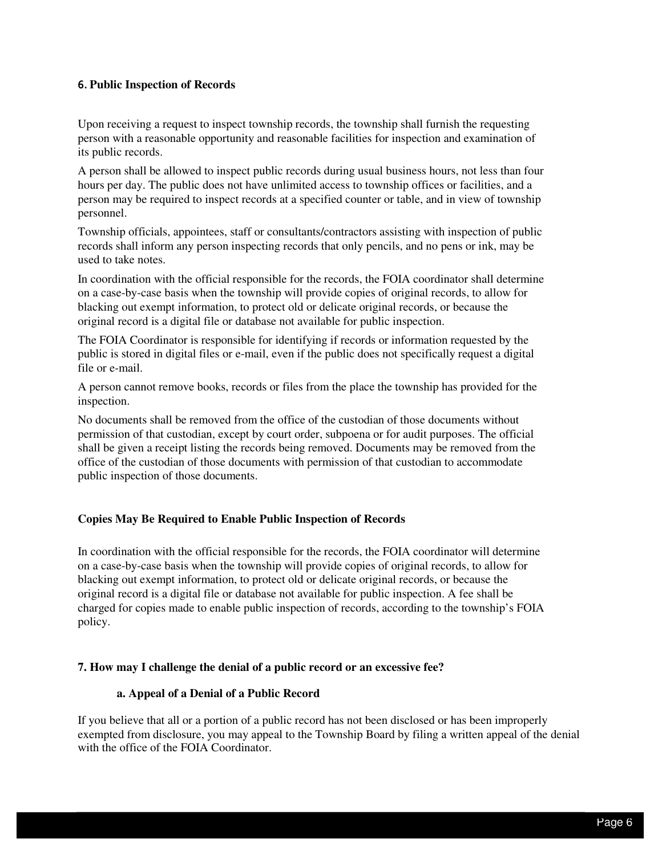## **6. Public Inspection of Records**

 Upon receiving a request to inspect township records, the township shall furnish the requesting person with a reasonable opportunity and reasonable facilities for inspection and examination of its public records.

 A person shall be allowed to inspect public records during usual business hours, not less than four hours per day. The public does not have unlimited access to township offices or facilities, and a person may be required to inspect records at a specified counter or table, and in view of township personnel.

 Township officials, appointees, staff or consultants/contractors assisting with inspection of public records shall inform any person inspecting records that only pencils, and no pens or ink, may be used to take notes.

 In coordination with the official responsible for the records, the FOIA coordinator shall determine on a case-by-case basis when the township will provide copies of original records, to allow for blacking out exempt information, to protect old or delicate original records, or because the original record is a digital file or database not available for public inspection.

 The FOIA Coordinator is responsible for identifying if records or information requested by the public is stored in digital files or e-mail, even if the public does not specifically request a digital file or e-mail.

 A person cannot remove books, records or files from the place the township has provided for the inspection.

inspection.<br>No documents shall be removed from the office of the custodian of those documents without permission of that custodian, except by court order, subpoena or for audit purposes. The official shall be given a receipt listing the records being removed. Documents may be removed from the office of the custodian of those documents with permission of that custodian to accommodate public inspection of those documents.

#### **Copies May Be Required to Enable Public Inspection of Records**

 In coordination with the official responsible for the records, the FOIA coordinator will determine on a case-by-case basis when the township will provide copies of original records, to allow for blacking out exempt information, to protect old or delicate original records, or because the original record is a digital file or database not available for public inspection. A fee shall be charged for copies made to enable public inspection of records, according to the township's FOIA policy.

#### **7. How may I challenge the denial of a public record or an excessive fee?**

#### **a. Appeal of a Denial of a Public Record**

 If you believe that all or a portion of a public record has not been disclosed or has been improperly exempted from disclosure, you may appeal to the Township Board by filing a written appeal of the denial with the office of the FOIA Coordinator.